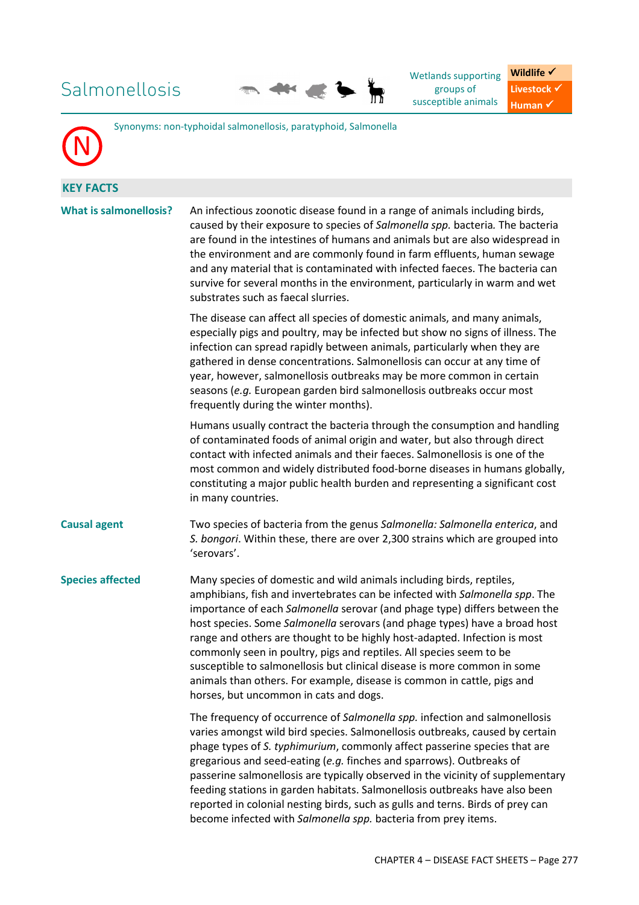# Salmonellosis



Wetlands supporting groups of susceptible animals

**Wildlife √ Livestock** ✔ **Human** ✔



Synonyms: non-typhoidal salmonellosis, paratyphoid, Salmonella

**KEY FACTS What is salm** 

| onellosis? | An infectious zoonotic disease found in a range of animals including birds,   |
|------------|-------------------------------------------------------------------------------|
|            | caused by their exposure to species of Salmonella spp. bacteria. The bacteria |
|            | are found in the intestines of humans and animals but are also widespread in  |
|            | the environment and are commonly found in farm effluents, human sewage        |
|            | and any material that is contaminated with infected faeces. The bacteria can  |
|            | survive for several months in the environment, particularly in warm and wet   |
|            | substrates such as faecal slurries.                                           |

The disease can affect all species of domestic animals, and many animals, especially pigs and poultry, may be infected but show no signs of illness. The infection can spread rapidly between animals, particularly when they are gathered in dense concentrations. Salmonellosis can occur at any time of year, however, salmonellosis outbreaks may be more common in certain seasons (*e.g.* European garden bird salmonellosis outbreaks occur most frequently during the winter months).

Humans usually contract the bacteria through the consumption and handling of contaminated foods of animal origin and water, but also through direct contact with infected animals and their faeces. Salmonellosis is one of the most common and widely distributed food-borne diseases in humans globally, constituting a major public health burden and representing a significant cost in many countries.

**Causal agent** Two species of bacteria from the genus *Salmonella: Salmonella enterica*, and *S. bongori*. Within these, there are over 2,300 strains which are grouped into 'serovars'.

**Species affected** Many species of domestic and wild animals including birds, reptiles, amphibians, fish and invertebrates can be infected with *Salmonella spp*. The importance of each *Salmonella* serovar (and phage type) differs between the host species. Some *Salmonella* serovars (and phage types) have a broad host range and others are thought to be highly host-adapted. Infection is most commonly seen in poultry, pigs and reptiles. All species seem to be susceptible to salmonellosis but clinical disease is more common in some animals than others. For example, disease is common in cattle, pigs and horses, but uncommon in cats and dogs.

> The frequency of occurrence of *Salmonella spp.* infection and salmonellosis varies amongst wild bird species. Salmonellosis outbreaks, caused by certain phage types of *S. typhimurium*, commonly affect passerine species that are gregarious and seed-eating (*e.g.* finches and sparrows). Outbreaks of passerine salmonellosis are typically observed in the vicinity of supplementary feeding stations in garden habitats. Salmonellosis outbreaks have also been reported in colonial nesting birds, such as gulls and terns. Birds of prey can become infected with *Salmonella spp.* bacteria from prey items.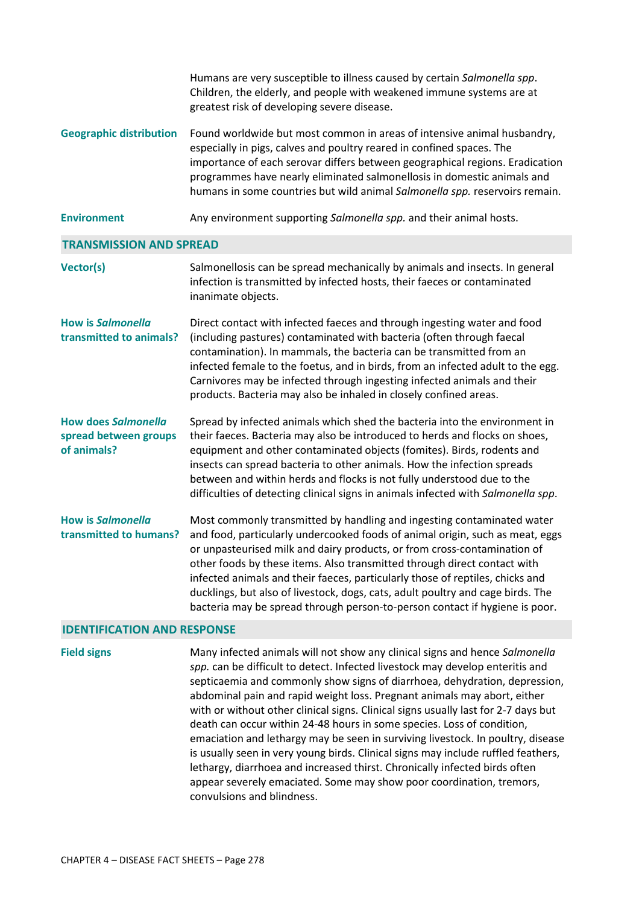|                                                                    | Humans are very susceptible to illness caused by certain Salmonella spp.<br>Children, the elderly, and people with weakened immune systems are at<br>greatest risk of developing severe disease.                                                                                                                                                                                                                                                                                                                                                                   |
|--------------------------------------------------------------------|--------------------------------------------------------------------------------------------------------------------------------------------------------------------------------------------------------------------------------------------------------------------------------------------------------------------------------------------------------------------------------------------------------------------------------------------------------------------------------------------------------------------------------------------------------------------|
| <b>Geographic distribution</b>                                     | Found worldwide but most common in areas of intensive animal husbandry,<br>especially in pigs, calves and poultry reared in confined spaces. The<br>importance of each serovar differs between geographical regions. Eradication<br>programmes have nearly eliminated salmonellosis in domestic animals and<br>humans in some countries but wild animal Salmonella spp. reservoirs remain.                                                                                                                                                                         |
| <b>Environment</b>                                                 | Any environment supporting Salmonella spp. and their animal hosts.                                                                                                                                                                                                                                                                                                                                                                                                                                                                                                 |
| <b>TRANSMISSION AND SPREAD</b>                                     |                                                                                                                                                                                                                                                                                                                                                                                                                                                                                                                                                                    |
| Vector(s)                                                          | Salmonellosis can be spread mechanically by animals and insects. In general<br>infection is transmitted by infected hosts, their faeces or contaminated<br>inanimate objects.                                                                                                                                                                                                                                                                                                                                                                                      |
| <b>How is Salmonella</b><br>transmitted to animals?                | Direct contact with infected faeces and through ingesting water and food<br>(including pastures) contaminated with bacteria (often through faecal<br>contamination). In mammals, the bacteria can be transmitted from an<br>infected female to the foetus, and in birds, from an infected adult to the egg.<br>Carnivores may be infected through ingesting infected animals and their<br>products. Bacteria may also be inhaled in closely confined areas.                                                                                                        |
| <b>How does Salmonella</b><br>spread between groups<br>of animals? | Spread by infected animals which shed the bacteria into the environment in<br>their faeces. Bacteria may also be introduced to herds and flocks on shoes,<br>equipment and other contaminated objects (fomites). Birds, rodents and<br>insects can spread bacteria to other animals. How the infection spreads<br>between and within herds and flocks is not fully understood due to the<br>difficulties of detecting clinical signs in animals infected with Salmonella spp.                                                                                      |
| <b>How is Salmonella</b><br>transmitted to humans?                 | Most commonly transmitted by handling and ingesting contaminated water<br>and food, particularly undercooked foods of animal origin, such as meat, eggs<br>or unpasteurised milk and dairy products, or from cross-contamination of<br>other foods by these items. Also transmitted through direct contact with<br>infected animals and their faeces, particularly those of reptiles, chicks and<br>ducklings, but also of livestock, dogs, cats, adult poultry and cage birds. The<br>bacteria may be spread through person-to-person contact if hygiene is poor. |
|                                                                    |                                                                                                                                                                                                                                                                                                                                                                                                                                                                                                                                                                    |

### **IDENTIFICATION AND RESPONSE**

**Field signs** Many infected animals will not show any clinical signs and hence *Salmonella spp.* can be difficult to detect. Infected livestock may develop enteritis and septicaemia and commonly show signs of diarrhoea, dehydration, depression, abdominal pain and rapid weight loss. Pregnant animals may abort, either with or without other clinical signs. Clinical signs usually last for 2-7 days but death can occur within 24-48 hours in some species. Loss of condition, emaciation and lethargy may be seen in surviving livestock. In poultry, disease is usually seen in very young birds. Clinical signs may include ruffled feathers, lethargy, diarrhoea and increased thirst. Chronically infected birds often appear severely emaciated. Some may show poor coordination, tremors, convulsions and blindness.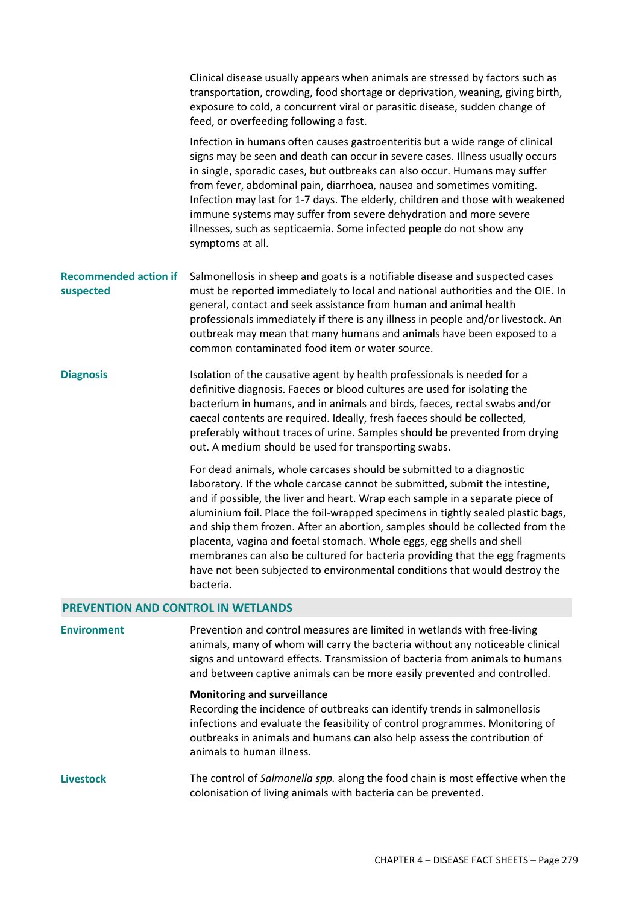|                                           | Clinical disease usually appears when animals are stressed by factors such as<br>transportation, crowding, food shortage or deprivation, weaning, giving birth,<br>exposure to cold, a concurrent viral or parasitic disease, sudden change of<br>feed, or overfeeding following a fast.                                                                                                                                                                                                                                                                                                                                                                      |  |  |  |  |
|-------------------------------------------|---------------------------------------------------------------------------------------------------------------------------------------------------------------------------------------------------------------------------------------------------------------------------------------------------------------------------------------------------------------------------------------------------------------------------------------------------------------------------------------------------------------------------------------------------------------------------------------------------------------------------------------------------------------|--|--|--|--|
|                                           | Infection in humans often causes gastroenteritis but a wide range of clinical<br>signs may be seen and death can occur in severe cases. Illness usually occurs<br>in single, sporadic cases, but outbreaks can also occur. Humans may suffer<br>from fever, abdominal pain, diarrhoea, nausea and sometimes vomiting.<br>Infection may last for 1-7 days. The elderly, children and those with weakened<br>immune systems may suffer from severe dehydration and more severe<br>illnesses, such as septicaemia. Some infected people do not show any<br>symptoms at all.                                                                                      |  |  |  |  |
| <b>Recommended action if</b><br>suspected | Salmonellosis in sheep and goats is a notifiable disease and suspected cases<br>must be reported immediately to local and national authorities and the OIE. In<br>general, contact and seek assistance from human and animal health<br>professionals immediately if there is any illness in people and/or livestock. An<br>outbreak may mean that many humans and animals have been exposed to a<br>common contaminated food item or water source.                                                                                                                                                                                                            |  |  |  |  |
| <b>Diagnosis</b>                          | Isolation of the causative agent by health professionals is needed for a<br>definitive diagnosis. Faeces or blood cultures are used for isolating the<br>bacterium in humans, and in animals and birds, faeces, rectal swabs and/or<br>caecal contents are required. Ideally, fresh faeces should be collected,<br>preferably without traces of urine. Samples should be prevented from drying<br>out. A medium should be used for transporting swabs.                                                                                                                                                                                                        |  |  |  |  |
|                                           | For dead animals, whole carcases should be submitted to a diagnostic<br>laboratory. If the whole carcase cannot be submitted, submit the intestine,<br>and if possible, the liver and heart. Wrap each sample in a separate piece of<br>aluminium foil. Place the foil-wrapped specimens in tightly sealed plastic bags,<br>and ship them frozen. After an abortion, samples should be collected from the<br>placenta, vagina and foetal stomach. Whole eggs, egg shells and shell<br>membranes can also be cultured for bacteria providing that the egg fragments<br>have not been subjected to environmental conditions that would destroy the<br>bacteria. |  |  |  |  |
| <b>PREVENTION AND CONTROL IN WETLANDS</b> |                                                                                                                                                                                                                                                                                                                                                                                                                                                                                                                                                                                                                                                               |  |  |  |  |

**Environment** Prevention and control measures are limited in wetlands with free-living animals, many of whom will carry the bacteria without any noticeable clinical signs and untoward effects. Transmission of bacteria from animals to humans and between captive animals can be more easily prevented and controlled.

### **Monitoring and surveillance**

Recording the incidence of outbreaks can identify trends in salmonellosis infections and evaluate the feasibility of control programmes. Monitoring of outbreaks in animals and humans can also help assess the contribution of animals to human illness.

**Livestock** The control of *Salmonella spp.* along the food chain is most effective when the colonisation of living animals with bacteria can be prevented.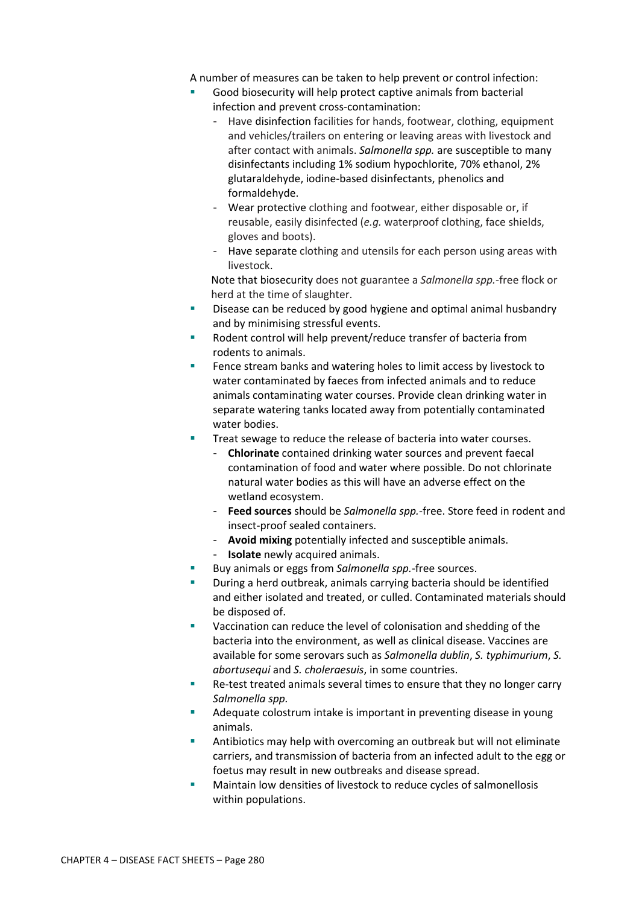A number of measures can be taken to help prevent or control infection:

- Good biosecurity will help protect captive animals from bacterial infection and prevent cross-contamination:
	- Have disinfection facilities for hands, footwear, clothing, equipment and vehicles/trailers on entering or leaving areas with livestock and after contact with animals. *Salmonella spp.* are susceptible to many disinfectants including 1% sodium hypochlorite, 70% ethanol, 2% glutaraldehyde, iodine-based disinfectants, phenolics and formaldehyde.
	- Wear protective clothing and footwear, either disposable or, if reusable, easily disinfected (*e.g.* waterproof clothing, face shields, gloves and boots).
	- Have separate clothing and utensils for each person using areas with livestock.

Note that biosecurity does not guarantee a *Salmonella spp.*-free flock or herd at the time of slaughter.

- Disease can be reduced by good hygiene and optimal animal husbandry and by minimising stressful events.
- Rodent control will help prevent/reduce transfer of bacteria from rodents to animals.
- Fence stream banks and watering holes to limit access by livestock to water contaminated by faeces from infected animals and to reduce animals contaminating water courses. Provide clean drinking water in separate watering tanks located away from potentially contaminated water bodies.
- Treat sewage to reduce the release of bacteria into water courses.
	- **Chlorinate** contained drinking water sources and prevent faecal contamination of food and water where possible. Do not chlorinate natural water bodies as this will have an adverse effect on the wetland ecosystem.
	- **Feed sources** should be *Salmonella spp.*-free. Store feed in rodent and insect-proof sealed containers.
	- **Avoid mixing** potentially infected and susceptible animals.
	- **Isolate** newly acquired animals.
- Buy animals or eggs from *Salmonella spp.*-free sources.
- During a herd outbreak, animals carrying bacteria should be identified and either isolated and treated, or culled. Contaminated materials should be disposed of.
- Vaccination can reduce the level of colonisation and shedding of the bacteria into the environment, as well as clinical disease. Vaccines are available for some serovars such as *Salmonella dublin*, *S. typhimurium*, *S. abortusequi* and *S. choleraesuis*, in some countries.
- Re-test treated animals several times to ensure that they no longer carry *Salmonella spp.*
- Adequate colostrum intake is important in preventing disease in young animals.
- Antibiotics may help with overcoming an outbreak but will not eliminate carriers, and transmission of bacteria from an infected adult to the egg or foetus may result in new outbreaks and disease spread.
- Maintain low densities of livestock to reduce cycles of salmonellosis within populations.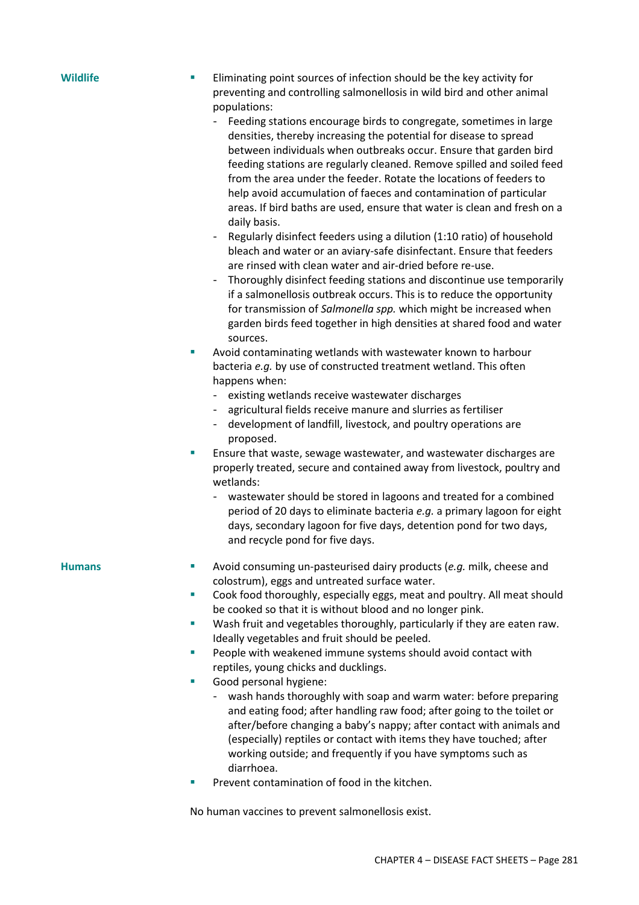- **Wildlife** Eliminating point sources of infection should be the key activity for preventing and controlling salmonellosis in wild bird and other animal populations:
	- Feeding stations encourage birds to congregate, sometimes in large densities, thereby increasing the potential for disease to spread between individuals when outbreaks occur. Ensure that garden bird feeding stations are regularly cleaned. Remove spilled and soiled feed from the area under the feeder. Rotate the locations of feeders to help avoid accumulation of faeces and contamination of particular areas. If bird baths are used, ensure that water is clean and fresh on a daily basis.
	- Regularly disinfect feeders using a dilution (1:10 ratio) of household bleach and water or an aviary-safe disinfectant. Ensure that feeders are rinsed with clean water and air-dried before re-use.
	- Thoroughly disinfect feeding stations and discontinue use temporarily if a salmonellosis outbreak occurs. This is to reduce the opportunity for transmission of *Salmonella spp.* which might be increased when garden birds feed together in high densities at shared food and water sources.
	- Avoid contaminating wetlands with wastewater known to harbour bacteria *e.g.* by use of constructed treatment wetland. This often happens when:
		- existing wetlands receive wastewater discharges
		- agricultural fields receive manure and slurries as fertiliser
		- development of landfill, livestock, and poultry operations are proposed.
	- Ensure that waste, sewage wastewater, and wastewater discharges are properly treated, secure and contained away from livestock, poultry and wetlands:
		- wastewater should be stored in lagoons and treated for a combined period of 20 days to eliminate bacteria *e.g.* a primary lagoon for eight days, secondary lagoon for five days, detention pond for two days, and recycle pond for five days.

- **Humans EXECUTE:** Avoid consuming un-pasteurised dairy products (*e.g.* milk, cheese and colostrum), eggs and untreated surface water.
	- Cook food thoroughly, especially eggs, meat and poultry. All meat should be cooked so that it is without blood and no longer pink.
	- Wash fruit and vegetables thoroughly, particularly if they are eaten raw. Ideally vegetables and fruit should be peeled.
	- **People with weakened immune systems should avoid contact with** reptiles, young chicks and ducklings.
	- Good personal hygiene:
		- wash hands thoroughly with soap and warm water: before preparing and eating food; after handling raw food; after going to the toilet or after/before changing a baby's nappy; after contact with animals and (especially) reptiles or contact with items they have touched; after working outside; and frequently if you have symptoms such as diarrhoea.
	- Prevent contamination of food in the kitchen.

No human vaccines to prevent salmonellosis exist.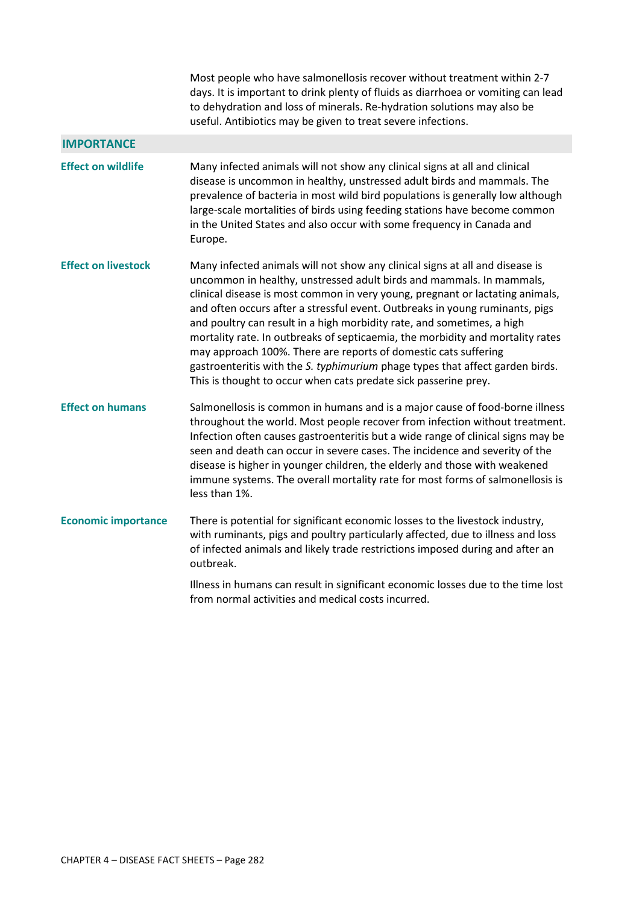Most people who have salmonellosis recover without treatment within 2-7 days. It is important to drink plenty of fluids as diarrhoea or vomiting can lead to dehydration and loss of minerals. Re-hydration solutions may also be useful. Antibiotics may be given to treat severe infections.

### **IMPORTANCE**

**Effect on wildlife** Many infected animals will not show any clinical signs at all and clinical disease is uncommon in healthy, unstressed adult birds and mammals. The prevalence of bacteria in most wild bird populations is generally low although large-scale mortalities of birds using feeding stations have become common in the United States and also occur with some frequency in Canada and Europe. **Effect on livestock** Many infected animals will not show any clinical signs at all and disease is uncommon in healthy, unstressed adult birds and mammals. In mammals,

clinical disease is most common in very young, pregnant or lactating animals, and often occurs after a stressful event. Outbreaks in young ruminants, pigs and poultry can result in a high morbidity rate, and sometimes, a high mortality rate. In outbreaks of septicaemia, the morbidity and mortality rates may approach 100%. There are reports of domestic cats suffering gastroenteritis with the *S. typhimurium* phage types that affect garden birds. This is thought to occur when cats predate sick passerine prey.

**Effect on humans** Salmonellosis is common in humans and is a major cause of food-borne illness throughout the world. Most people recover from infection without treatment. Infection often causes gastroenteritis but a wide range of clinical signs may be seen and death can occur in severe cases. The incidence and severity of the disease is higher in younger children, the elderly and those with weakened immune systems. The overall mortality rate for most forms of salmonellosis is less than 1%.

## **Economic importance** There is potential for significant economic losses to the livestock industry, with ruminants, pigs and poultry particularly affected, due to illness and loss of infected animals and likely trade restrictions imposed during and after an outbreak.

Illness in humans can result in significant economic losses due to the time lost from normal activities and medical costs incurred.